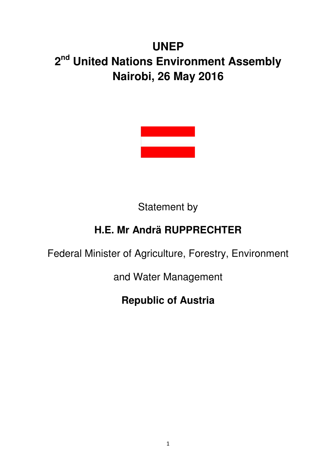## **UNEP 2 nd United Nations Environment Assembly Nairobi, 26 May 2016**



Statement by

## **H.E. Mr Andrä RUPPRECHTER**

Federal Minister of Agriculture, Forestry, Environment

and Water Management

## **Republic of Austria**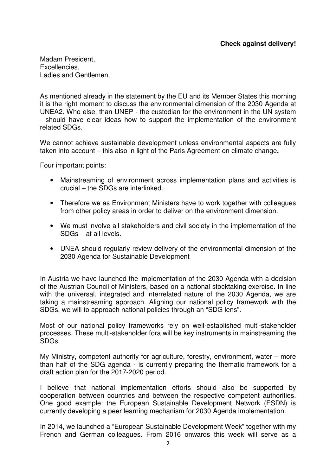## **Check against delivery!**

Madam President, Excellencies, Ladies and Gentlemen,

As mentioned already in the statement by the EU and its Member States this morning it is the right moment to discuss the environmental dimension of the 2030 Agenda at UNEA2. Who else, than UNEP - the custodian for the environment in the UN system - should have clear ideas how to support the implementation of the environment related SDGs.

We cannot achieve sustainable development unless environmental aspects are fully taken into account – this also in light of the Paris Agreement on climate change**.** 

Four important points:

- Mainstreaming of environment across implementation plans and activities is crucial – the SDGs are interlinked.
- Therefore we as Environment Ministers have to work together with colleagues from other policy areas in order to deliver on the environment dimension.
- We must involve all stakeholders and civil society in the implementation of the SDGs – at all levels.
- UNEA should regularly review delivery of the environmental dimension of the 2030 Agenda for Sustainable Development

In Austria we have launched the implementation of the 2030 Agenda with a decision of the Austrian Council of Ministers, based on a national stocktaking exercise. In line with the universal, integrated and interrelated nature of the 2030 Agenda, we are taking a mainstreaming approach. Aligning our national policy framework with the SDGs, we will to approach national policies through an "SDG lens".

Most of our national policy frameworks rely on well-established multi-stakeholder processes. These multi-stakeholder fora will be key instruments in mainstreaming the SDGs.

My Ministry, competent authority for agriculture, forestry, environment, water – more than half of the SDG agenda - is currently preparing the thematic framework for a draft action plan for the 2017-2020 period.

I believe that national implementation efforts should also be supported by cooperation between countries and between the respective competent authorities. One good example: the European Sustainable Development Network (ESDN) is currently developing a peer learning mechanism for 2030 Agenda implementation.

In 2014, we launched a "European Sustainable Development Week" together with my French and German colleagues. From 2016 onwards this week will serve as a